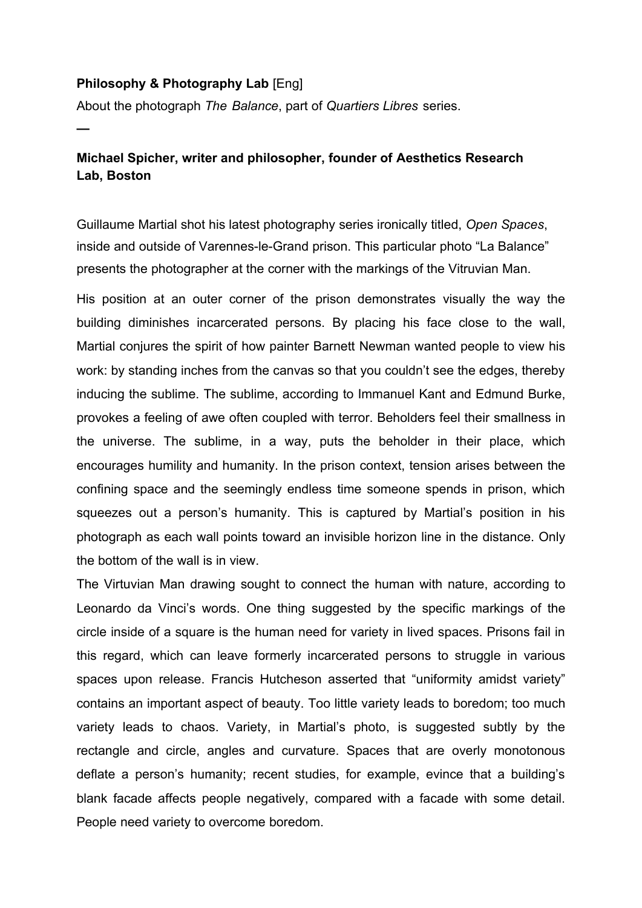## **Philosophy & Photography Lab** [Eng]

**—**

About the photograph *The Balance*, part of *Quartiers Libres* series.

## **Michael Spicher, writer and philosopher, founder of Aesthetics Research Lab, Boston**

Guillaume Martial shot his latest photography series ironically titled, *Open Spaces*, inside and outside of Varennes-le-Grand prison. This particular photo "La Balance" presents the photographer at the corner with the markings of the Vitruvian Man.

His position at an outer corner of the prison demonstrates visually the way the building diminishes incarcerated persons. By placing his face close to the wall, Martial conjures the spirit of how painter Barnett Newman wanted people to view his work: by standing inches from the canvas so that you couldn't see the edges, thereby inducing the sublime. The sublime, according to Immanuel Kant and Edmund Burke, provokes a feeling of awe often coupled with terror. Beholders feel their smallness in the universe. The sublime, in a way, puts the beholder in their place, which encourages humility and humanity. In the prison context, tension arises between the confining space and the seemingly endless time someone spends in prison, which squeezes out a person's humanity. This is captured by Martial's position in his photograph as each wall points toward an invisible horizon line in the distance. Only the bottom of the wall is in view.

The Virtuvian Man drawing sought to connect the human with nature, according to Leonardo da Vinci's words. One thing suggested by the specific markings of the circle inside of a square is the human need for variety in lived spaces. Prisons fail in this regard, which can leave formerly incarcerated persons to struggle in various spaces upon release. Francis Hutcheson asserted that "uniformity amidst variety" contains an important aspect of beauty. Too little variety leads to boredom; too much variety leads to chaos. Variety, in Martial's photo, is suggested subtly by the rectangle and circle, angles and curvature. Spaces that are overly monotonous deflate a person's humanity; recent studies, for example, evince that a building's blank facade affects people negatively, compared with a facade with some detail. People need variety to overcome boredom.